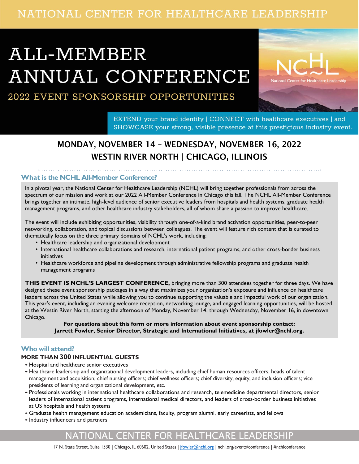# NATIONAL CENTER FOR HEALTHCARE LEADERSHIP

# ALL-MEMBER ANNUAL CONFERENCE



# 2022 EVENT SPONSORSHIP OPPORTUNITIES

EXTEND your brand identity | CONNECT with healthcare executives | and SHOWCASE your strong, visible presence at this prestigious industry event.

# MONDAY, NOVEMBER 14 – WEDNESDAY, NOVEMBER 16, 2022 WESTIN RIVER NORTH | CHICAGO, ILLINOIS

#### **What is the NCHL All-Member Conference?**

In a pivotal year, the National Center for Healthcare Leadership (NCHL) will bring together professionals from across the spectrum of our mission and work at our 2022 All-Member Conference in Chicago this fall. The NCHL All-Member Conference brings together an intimate, high-level audience of senior executive leaders from hospitals and health systems, graduate health management programs, and other healthcare industry stakeholders, all of whom share a passion to improve healthcare.

The event will include exhibiting opportunities, visibility through one-of-a-kind brand activation opportunities, peer-to-peer networking, collaboration, and topical discussions between colleagues. The event will feature rich content that is curated to thematically focus on the three primary domains of NCHL's work, including:

- Healthcare leadership and organizational development
- International healthcare collaborations and research, international patient programs, and other cross-border business initiatives
- Healthcare workforce and pipeline development through administrative fellowship programs and graduate health management programs

**THIS EVENT IS NCHL'S LARGEST CONFERENCE,** bringing more than 300 attendees together for three days. We have designed these event sponsorship packages in a way that maximizes your organization's exposure and influence on healthcare leaders across the United States while allowing you to continue supporting the valuable and impactful work of our organization. This year's event, including an evening welcome reception, networking lounge, and engaged learning opportunities, will be hosted at the Westin River North, starting the afternoon of Monday, November 14, through Wednesday, November 16, in downtown Chicago.

**For questions about this form or more information about event sponsorship contact: Jarrett Fowler, Senior Director, Strategic and International Initiatives, at jfowler@nchl.org.**

#### **Who will attend?**

#### **MORE THAN 300 INFLUENTIAL GUESTS**

- •Hospital and healthcare senior executives
- •Healthcare leadership and organizational development leaders, including chief human resources officers; heads of talent management and acquisition; chief nursing officers; chief wellness officers; chief diversity, equity, and inclusion officers; vice presidents of learning and organizational development, etc.
- Professionals working in international healthcare collaborations and research, telemedicine departmental directors, senior leaders of international patient programs, international medical directors, and leaders of cross-border business initiatives at US hospitals and health systems
- •Graduate health management education academicians, faculty, program alumni, early careerists, and fellows
- •Industry influencers and partners

## NATIONAL CENTER FOR HEALTHCARE LEADERSHIP

17 N. State Street, Suite 1530 | Chicago, IL 60602, United States | [jfowler@nchl.org](mailto:info@nchl.org) | nchl.org/events/conference | #nchlconference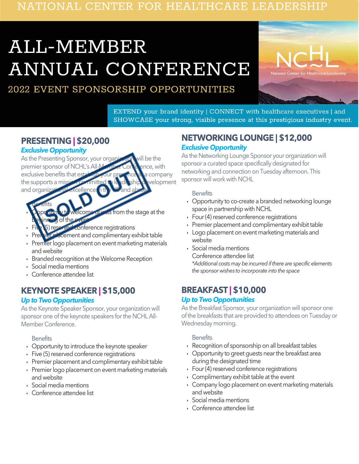# NATIONAL CENTER FOR HEALTHCARE LEADERSHIP

# ALL-MEMBER ANNUAL CONFERENCE

2022 EVENT SPONSORSHIP OPPORTUNITIES



EXTEND your brand identity | CONNECT with healthcare executives | and SHOWCASE your strong, visible presence at this prestigious industry event.

# **PRESENTING | \$20,000**

#### *Exclusive Opportunity*

As the Presenting Sponsor, your organization will be the premier sponsor of NCHL's All-Member Conference, with exclusive benefits that establish your presence as a company the supports a mission committed to leadership development and organizational excellence in the

*Continued Sponsorship Opportunities Page 2.*

- Benefits from the stage at the  $\delta$  of the
- conference registrations
- **Ecement and complimentary exhibit table**
- Premier logo placement on event marketing materials and website
- Branded recognition at the Welcome Reception
- Social media mentions
- Conference attendee list

# **KEYNOTE SPEAKER | \$15,000**

#### *Up to Two Opportunities*

As the Keynote Speaker Sponsor, your organization will sponsor one of the keynote speakers for the NCHL All-Member Conference.

#### **Benefits**

- Opportunity to introduce the keynote speaker
- Five (5) reserved conference registrations
- Premier placement and complimentary exhibit table
- Premier logo placement on event marketing materials and website
- Social media mentions
- Conference attendee list

### **NETWORKING LOUNGE | \$12,000** *Exclusive Opportunity*

As the Networking Lounge Sponsor your organization will sponsor a curated space specifically designated for networking and connection on Tuesday afternoon. This sponsor will work with NCHL

#### **Benefits**

- Opportunity to co-create a branded networking lounge space in partnership with NCHL
- Four (4) reserved conference registrations
- Premier placement and complimentary exhibit table
- Logo placement on event marketing materials and website
- Social media mentions Conference attendee list

*\*Additional costs may be incurred if there are specific elements the sponsor wishes to incorporate into the space*

# **BREAKFAST | \$10,000**

#### *Up to Two Opportunities*

As the Breakfast Sponsor, your organization will sponsor one of the breakfasts that are provided to attendees on Tuesday or Wednesday morning.

#### **Benefits**

- Recognition of sponsorship on all breakfast tables
- Opportunity to greet guests near the breakfast area during the designated time
- Four(4) reserved conference registrations
- Complimentary exhibit table at the event
- Company logo placement on event marketing materials and website
- Social media mentions
- Conference attendee list